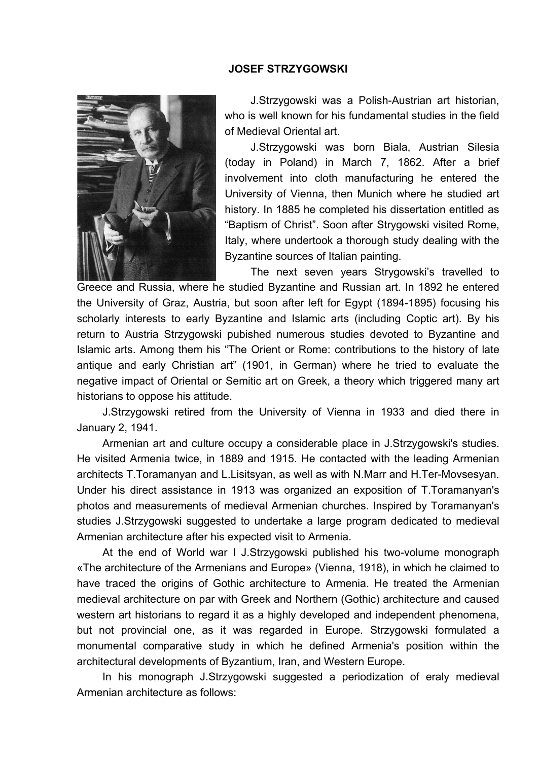## **JOSEF STRZYGOWSKI**



J.Strzygowski was a Polish-Austrian art historian, who is well known for his fundamental studies in the field of Medieval Oriental art.

J.Strzygowski was born Biala, Austrian Silesia (today in Poland) in March 7, 1862. After a brief involvement into cloth manufacturing he entered the University of Vienna, then Munich where he studied art history. In 1885 he completed his dissertation entitled as "Baptism of Christ". Soon after Strygowski visited Rome, Italy, where undertook a thorough study dealing with the Byzantine sources of Italian painting.

The next seven years Strygowski's travelled to Greece and Russia, where he studied Byzantine and Russian art. In 1892 he entered the University of Graz, Austria, but soon after left for Egypt (1894-1895) focusing his scholarly interests to early Byzantine and Islamic arts (including Coptic art). By his return to Austria Strzygowski pubished numerous studies devoted to Byzantine and Islamic arts. Among them his "The Orient or Rome: contributions to the history of late antique and early Christian art" (1901, in German) where he tried to evaluate the negative impact of Oriental or Semitic art on Greek, a theory which triggered many art historians to oppose his attitude.

J.Strzygowski retired from the University of Vienna in 1933 and died there in January 2, 1941.

Armenian art and culture occupy a considerable place in J.Strzygowski's studies. He visited Armenia twice, in 1889 and 1915. He contacted with the leading Armenian architects T.Toramanyan and L.Lisitsyan, as well as with N.Marr and H.Ter-Movsesyan. Under his direct assistance in 1913 was organized an exposition of T.Toramanyan's photos and measurements of medieval Armenian churches. Inspired by Toramanyan's studies J.Strzygowski suggested to undertake a large program dedicated to medieval Armenian architecture after his expected visit to Armenia.

At the end of World war I J.Strzygowski published his two-volume monograph «The architecture of the Armenians and Europe» (Vienna, 1918), in which he claimed to have traced the origins of Gothic architecture to Armenia. He treated the Armenian medieval architecture on par with Greek and Northern (Gothic) architecture and caused western art historians to regard it as a highly developed and independent phenomena, but not provincial one, as it was regarded in Europe. Strzygowski formulated a monumental comparative study in which he defined Armenia's position within the architectural developments of Byzantium, Iran, and Western Europe.

In his monograph J.Strzygowski suggested a periodization of eraly medieval Armenian architecture as follows: